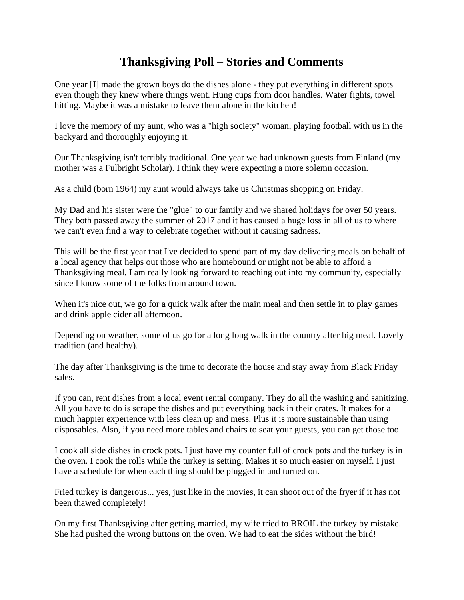## **Thanksgiving Poll – Stories and Comments**

One year [I] made the grown boys do the dishes alone - they put everything in different spots even though they knew where things went. Hung cups from door handles. Water fights, towel hitting. Maybe it was a mistake to leave them alone in the kitchen!

I love the memory of my aunt, who was a "high society" woman, playing football with us in the backyard and thoroughly enjoying it.

Our Thanksgiving isn't terribly traditional. One year we had unknown guests from Finland (my mother was a Fulbright Scholar). I think they were expecting a more solemn occasion.

As a child (born 1964) my aunt would always take us Christmas shopping on Friday.

My Dad and his sister were the "glue" to our family and we shared holidays for over 50 years. They both passed away the summer of 2017 and it has caused a huge loss in all of us to where we can't even find a way to celebrate together without it causing sadness.

This will be the first year that I've decided to spend part of my day delivering meals on behalf of a local agency that helps out those who are homebound or might not be able to afford a Thanksgiving meal. I am really looking forward to reaching out into my community, especially since I know some of the folks from around town.

When it's nice out, we go for a quick walk after the main meal and then settle in to play games and drink apple cider all afternoon.

Depending on weather, some of us go for a long long walk in the country after big meal. Lovely tradition (and healthy).

The day after Thanksgiving is the time to decorate the house and stay away from Black Friday sales.

If you can, rent dishes from a local event rental company. They do all the washing and sanitizing. All you have to do is scrape the dishes and put everything back in their crates. It makes for a much happier experience with less clean up and mess. Plus it is more sustainable than using disposables. Also, if you need more tables and chairs to seat your guests, you can get those too.

I cook all side dishes in crock pots. I just have my counter full of crock pots and the turkey is in the oven. I cook the rolls while the turkey is setting. Makes it so much easier on myself. I just have a schedule for when each thing should be plugged in and turned on.

Fried turkey is dangerous... yes, just like in the movies, it can shoot out of the fryer if it has not been thawed completely!

On my first Thanksgiving after getting married, my wife tried to BROIL the turkey by mistake. She had pushed the wrong buttons on the oven. We had to eat the sides without the bird!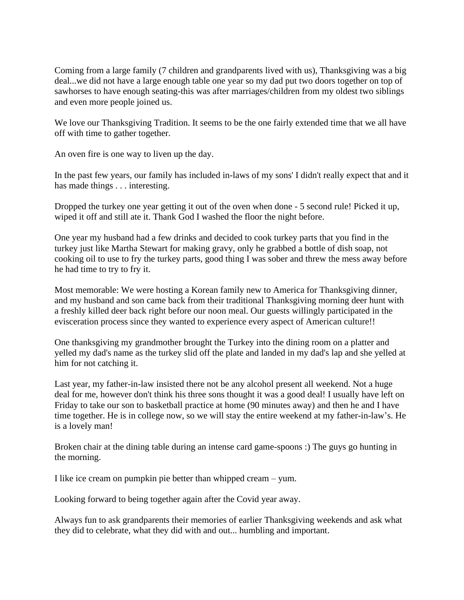Coming from a large family (7 children and grandparents lived with us), Thanksgiving was a big deal...we did not have a large enough table one year so my dad put two doors together on top of sawhorses to have enough seating-this was after marriages/children from my oldest two siblings and even more people joined us.

We love our Thanksgiving Tradition. It seems to be the one fairly extended time that we all have off with time to gather together.

An oven fire is one way to liven up the day.

In the past few years, our family has included in-laws of my sons' I didn't really expect that and it has made things . . . interesting.

Dropped the turkey one year getting it out of the oven when done - 5 second rule! Picked it up, wiped it off and still ate it. Thank God I washed the floor the night before.

One year my husband had a few drinks and decided to cook turkey parts that you find in the turkey just like Martha Stewart for making gravy, only he grabbed a bottle of dish soap, not cooking oil to use to fry the turkey parts, good thing I was sober and threw the mess away before he had time to try to fry it.

Most memorable: We were hosting a Korean family new to America for Thanksgiving dinner, and my husband and son came back from their traditional Thanksgiving morning deer hunt with a freshly killed deer back right before our noon meal. Our guests willingly participated in the evisceration process since they wanted to experience every aspect of American culture!!

One thanksgiving my grandmother brought the Turkey into the dining room on a platter and yelled my dad's name as the turkey slid off the plate and landed in my dad's lap and she yelled at him for not catching it.

Last year, my father-in-law insisted there not be any alcohol present all weekend. Not a huge deal for me, however don't think his three sons thought it was a good deal! I usually have left on Friday to take our son to basketball practice at home (90 minutes away) and then he and I have time together. He is in college now, so we will stay the entire weekend at my father-in-law's. He is a lovely man!

Broken chair at the dining table during an intense card game-spoons :) The guys go hunting in the morning.

I like ice cream on pumpkin pie better than whipped cream – yum.

Looking forward to being together again after the Covid year away.

Always fun to ask grandparents their memories of earlier Thanksgiving weekends and ask what they did to celebrate, what they did with and out... humbling and important.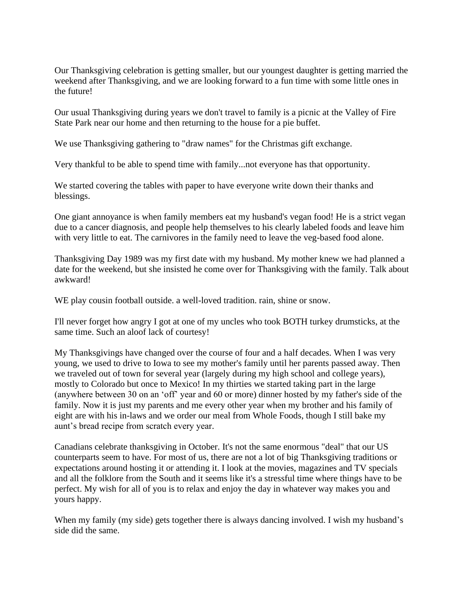Our Thanksgiving celebration is getting smaller, but our youngest daughter is getting married the weekend after Thanksgiving, and we are looking forward to a fun time with some little ones in the future!

Our usual Thanksgiving during years we don't travel to family is a picnic at the Valley of Fire State Park near our home and then returning to the house for a pie buffet.

We use Thanksgiving gathering to "draw names" for the Christmas gift exchange.

Very thankful to be able to spend time with family...not everyone has that opportunity.

We started covering the tables with paper to have everyone write down their thanks and blessings.

One giant annoyance is when family members eat my husband's vegan food! He is a strict vegan due to a cancer diagnosis, and people help themselves to his clearly labeled foods and leave him with very little to eat. The carnivores in the family need to leave the veg-based food alone.

Thanksgiving Day 1989 was my first date with my husband. My mother knew we had planned a date for the weekend, but she insisted he come over for Thanksgiving with the family. Talk about awkward!

WE play cousin football outside. a well-loved tradition. rain, shine or snow.

I'll never forget how angry I got at one of my uncles who took BOTH turkey drumsticks, at the same time. Such an aloof lack of courtesy!

My Thanksgivings have changed over the course of four and a half decades. When I was very young, we used to drive to Iowa to see my mother's family until her parents passed away. Then we traveled out of town for several year (largely during my high school and college years), mostly to Colorado but once to Mexico! In my thirties we started taking part in the large (anywhere between 30 on an 'off' year and 60 or more) dinner hosted by my father's side of the family. Now it is just my parents and me every other year when my brother and his family of eight are with his in-laws and we order our meal from Whole Foods, though I still bake my aunt's bread recipe from scratch every year.

Canadians celebrate thanksgiving in October. It's not the same enormous "deal" that our US counterparts seem to have. For most of us, there are not a lot of big Thanksgiving traditions or expectations around hosting it or attending it. I look at the movies, magazines and TV specials and all the folklore from the South and it seems like it's a stressful time where things have to be perfect. My wish for all of you is to relax and enjoy the day in whatever way makes you and yours happy.

When my family (my side) gets together there is always dancing involved. I wish my husband's side did the same.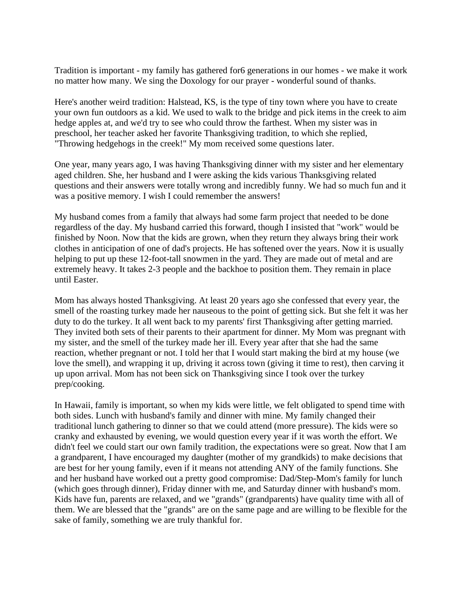Tradition is important - my family has gathered for6 generations in our homes - we make it work no matter how many. We sing the Doxology for our prayer - wonderful sound of thanks.

Here's another weird tradition: Halstead, KS, is the type of tiny town where you have to create your own fun outdoors as a kid. We used to walk to the bridge and pick items in the creek to aim hedge apples at, and we'd try to see who could throw the farthest. When my sister was in preschool, her teacher asked her favorite Thanksgiving tradition, to which she replied, "Throwing hedgehogs in the creek!" My mom received some questions later.

One year, many years ago, I was having Thanksgiving dinner with my sister and her elementary aged children. She, her husband and I were asking the kids various Thanksgiving related questions and their answers were totally wrong and incredibly funny. We had so much fun and it was a positive memory. I wish I could remember the answers!

My husband comes from a family that always had some farm project that needed to be done regardless of the day. My husband carried this forward, though I insisted that "work" would be finished by Noon. Now that the kids are grown, when they return they always bring their work clothes in anticipation of one of dad's projects. He has softened over the years. Now it is usually helping to put up these 12-foot-tall snowmen in the yard. They are made out of metal and are extremely heavy. It takes 2-3 people and the backhoe to position them. They remain in place until Easter.

Mom has always hosted Thanksgiving. At least 20 years ago she confessed that every year, the smell of the roasting turkey made her nauseous to the point of getting sick. But she felt it was her duty to do the turkey. It all went back to my parents' first Thanksgiving after getting married. They invited both sets of their parents to their apartment for dinner. My Mom was pregnant with my sister, and the smell of the turkey made her ill. Every year after that she had the same reaction, whether pregnant or not. I told her that I would start making the bird at my house (we love the smell), and wrapping it up, driving it across town (giving it time to rest), then carving it up upon arrival. Mom has not been sick on Thanksgiving since I took over the turkey prep/cooking.

In Hawaii, family is important, so when my kids were little, we felt obligated to spend time with both sides. Lunch with husband's family and dinner with mine. My family changed their traditional lunch gathering to dinner so that we could attend (more pressure). The kids were so cranky and exhausted by evening, we would question every year if it was worth the effort. We didn't feel we could start our own family tradition, the expectations were so great. Now that I am a grandparent, I have encouraged my daughter (mother of my grandkids) to make decisions that are best for her young family, even if it means not attending ANY of the family functions. She and her husband have worked out a pretty good compromise: Dad/Step-Mom's family for lunch (which goes through dinner), Friday dinner with me, and Saturday dinner with husband's mom. Kids have fun, parents are relaxed, and we "grands" (grandparents) have quality time with all of them. We are blessed that the "grands" are on the same page and are willing to be flexible for the sake of family, something we are truly thankful for.